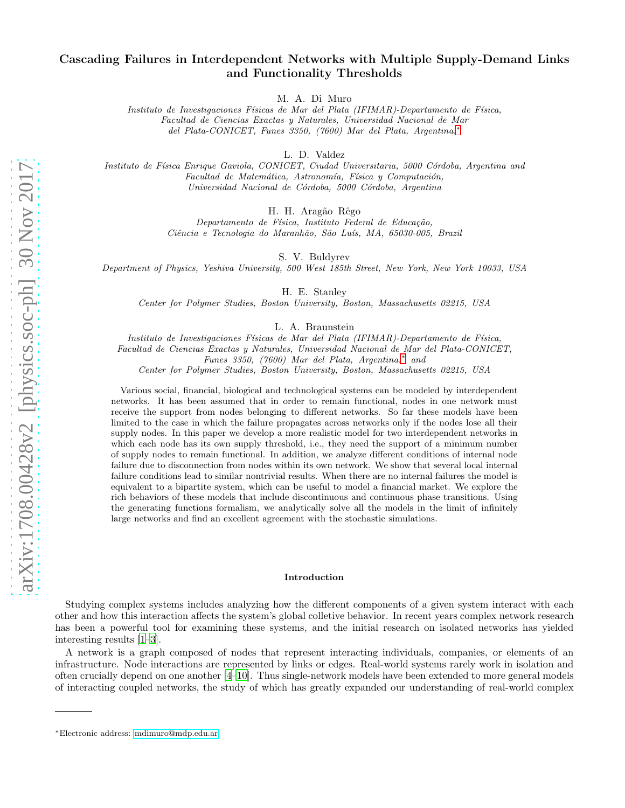# Cascading Failures in Interdependent Networks with Multiple Supply-Demand Links and Functionality Thresholds

M. A. Di Muro

*Instituto de Investigaciones F´ısicas de Mar del Plata (IFIMAR)-Departamento de F´ısica, Facultad de Ciencias Exactas y Naturales, Universidad Nacional de Mar del Plata-CONICET, Funes 3350, (7600) Mar del Plata, Argentina.*[∗](#page-0-0)

L. D. Valdez

*Instituto de F´ısica Enrique Gaviola, CONICET, Ciudad Universitaria, 5000 C´ordoba, Argentina and Facultad de Matemática, Astronomía, Física y Computación, Universidad Nacional de C´ordoba, 5000 C´ordoba, Argentina*

H. H. Aragão Rêgo

*Departamento de F´ısica, Instituto Federal de Educa¸c˜ao, Ciˆencia e Tecnologia do Maranh˜ao, S˜ao Lu´ıs, MA, 65030-005, Brazil*

S. V. Buldyrev

*Department of Physics, Yeshiva University, 500 West 185th Street, New York, New York 10033, USA*

H. E. Stanley

*Center for Polymer Studies, Boston University, Boston, Massachusetts 02215, USA*

L. A. Braunstein

*Instituto de Investigaciones F´ısicas de Mar del Plata (IFIMAR)-Departamento de F´ısica, Facultad de Ciencias Exactas y Naturales, Universidad Nacional de Mar del Plata-CONICET, Funes 3350, (7600) Mar del Plata, Argentina.*[∗](#page-0-0) *and*

*Center for Polymer Studies, Boston University, Boston, Massachusetts 02215, USA*

Various social, financial, biological and technological systems can be modeled by interdependent networks. It has been assumed that in order to remain functional, nodes in one network must receive the support from nodes belonging to different networks. So far these models have been limited to the case in which the failure propagates across networks only if the nodes lose all their supply nodes. In this paper we develop a more realistic model for two interdependent networks in which each node has its own supply threshold, i.e., they need the support of a minimum number of supply nodes to remain functional. In addition, we analyze different conditions of internal node failure due to disconnection from nodes within its own network. We show that several local internal failure conditions lead to similar nontrivial results. When there are no internal failures the model is equivalent to a bipartite system, which can be useful to model a financial market. We explore the rich behaviors of these models that include discontinuous and continuous phase transitions. Using the generating functions formalism, we analytically solve all the models in the limit of infinitely large networks and find an excellent agreement with the stochastic simulations.

## Introduction

Studying complex systems includes analyzing how the different components of a given system interact with each other and how this interaction affects the system's global colletive behavior. In recent years complex network research has been a powerful tool for examining these systems, and the initial research on isolated networks has yielded interesting results [\[1](#page-15-0)[–3\]](#page-15-1).

A network is a graph composed of nodes that represent interacting individuals, companies, or elements of an infrastructure. Node interactions are represented by links or edges. Real-world systems rarely work in isolation and often crucially depend on one another [\[4](#page-15-2)[–10](#page-15-3)]. Thus single-network models have been extended to more general models of interacting coupled networks, the study of which has greatly expanded our understanding of real-world complex

<span id="page-0-0"></span><sup>∗</sup>Electronic address: [mdimuro@mdp.edu.ar](mailto:mdimuro@mdp.edu.ar)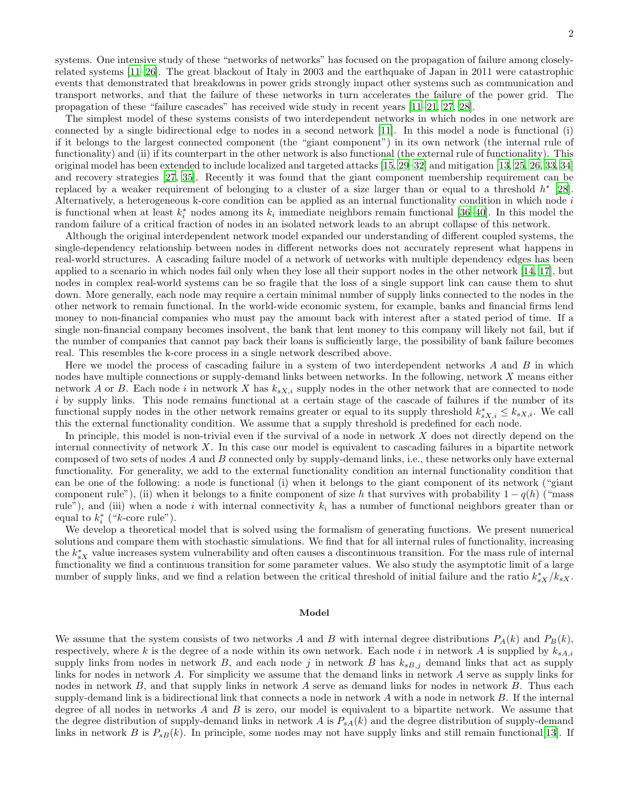systems. One intensive study of these "networks of networks" has focused on the propagation of failure among closelyrelated systems [\[11](#page-15-4)[–26\]](#page-15-5). The great blackout of Italy in 2003 and the earthquake of Japan in 2011 were catastrophic events that demonstrated that breakdowns in power grids strongly impact other systems such as communication and transport networks, and that the failure of these networks in turn accelerates the failure of the power grid. The propagation of these "failure cascades" has received wide study in recent years [\[11](#page-15-4)[–21](#page-15-6), [27](#page-16-0), [28](#page-16-1)].

The simplest model of these systems consists of two interdependent networks in which nodes in one network are connected by a single bidirectional edge to nodes in a second network [\[11](#page-15-4)]. In this model a node is functional (i) if it belongs to the largest connected component (the "giant component") in its own network (the internal rule of functionality) and (ii) if its counterpart in the other network is also functional (the external rule of functionality). This original model has been extended to include localized and targeted attacks [\[15,](#page-15-7) [29](#page-16-2)[–32\]](#page-16-3) and mitigation [\[13,](#page-15-8) [25](#page-15-9), [26](#page-15-5), [33](#page-16-4), [34](#page-16-5)] and recovery strategies [\[27](#page-16-0), [35\]](#page-16-6). Recently it was found that the giant component membership requirement can be replaced by a weaker requirement of belonging to a cluster of a size larger than or equal to a threshold  $h^*$  [\[28\]](#page-16-1). Alternatively, a heterogeneous k-core condition can be applied as an internal functionality condition in which node i is functional when at least  $k_i^*$  nodes among its  $k_i$  immediate neighbors remain functional [\[36](#page-16-7)[–40\]](#page-16-8). In this model the random failure of a critical fraction of nodes in an isolated network leads to an abrupt collapse of this network.

Although the original interdependent network model expanded our understanding of different coupled systems, the single-dependency relationship between nodes in different networks does not accurately represent what happens in real-world structures. A cascading failure model of a network of networks with multiple dependency edges has been applied to a scenario in which nodes fail only when they lose all their support nodes in the other network [\[14,](#page-15-10) [17\]](#page-15-11), but nodes in complex real-world systems can be so fragile that the loss of a single support link can cause them to shut down. More generally, each node may require a certain minimal number of supply links connected to the nodes in the other network to remain functional. In the world-wide economic system, for example, banks and financial firms lend money to non-financial companies who must pay the amount back with interest after a stated period of time. If a single non-financial company becomes insolvent, the bank that lent money to this company will likely not fail, but if the number of companies that cannot pay back their loans is sufficiently large, the possibility of bank failure becomes real. This resembles the k-core process in a single network described above.

Here we model the process of cascading failure in a system of two interdependent networks A and B in which nodes have multiple connections or supply-demand links between networks. In the following, network X means either network A or B. Each node i in network X has  $k_{sX,i}$  supply nodes in the other network that are connected to node  $i$  by supply links. This node remains functional at a certain stage of the cascade of failures if the number of its functional supply nodes in the other network remains greater or equal to its supply threshold  $k_{sX,i}^* \leq k_{sX,i}$ . We call this the external functionality condition. We assume that a supply threshold is predefined for each node.

In principle, this model is non-trivial even if the survival of a node in network  $X$  does not directly depend on the internal connectivity of network  $X$ . In this case our model is equivalent to cascading failures in a bipartite network composed of two sets of nodes A and B connected only by supply-demand links, i.e., these networks only have external functionality. For generality, we add to the external functionality condition an internal functionality condition that can be one of the following: a node is functional (i) when it belongs to the giant component of its network ("giant component rule"), (ii) when it belongs to a finite component of size h that survives with probability  $1 - q(h)$  ("mass") rule"), and (iii) when a node i with internal connectivity  $k_i$  has a number of functional neighbors greater than or equal to  $k_i^*$  (" $k$ -core rule").

We develop a theoretical model that is solved using the formalism of generating functions. We present numerical solutions and compare them with stochastic simulations. We find that for all internal rules of functionality, increasing the  $k_{sX}^*$  value increases system vulnerability and often causes a discontinuous transition. For the mass rule of internal functionality we find a continuous transition for some parameter values. We also study the asymptotic limit of a large number of supply links, and we find a relation between the critical threshold of initial failure and the ratio  $k_{sX}^*/k_{sX}$ .

#### Model

We assume that the system consists of two networks A and B with internal degree distributions  $P_A(k)$  and  $P_B(k)$ , respectively, where k is the degree of a node within its own network. Each node i in network A is supplied by  $k_{sA,i}$ supply links from nodes in network B, and each node j in network B has  $k_{sB,j}$  demand links that act as supply links for nodes in network A. For simplicity we assume that the demand links in network A serve as supply links for nodes in network B, and that supply links in network A serve as demand links for nodes in network B. Thus each supply-demand link is a bidirectional link that connects a node in network  $A$  with a node in network  $B$ . If the internal degree of all nodes in networks  $A$  and  $B$  is zero, our model is equivalent to a bipartite network. We assume that the degree distribution of supply-demand links in network A is  $P_{sA}(k)$  and the degree distribution of supply-demand links in network B is  $P_{sB}(k)$ . In principle, some nodes may not have supply links and still remain functional[\[13\]](#page-15-8). If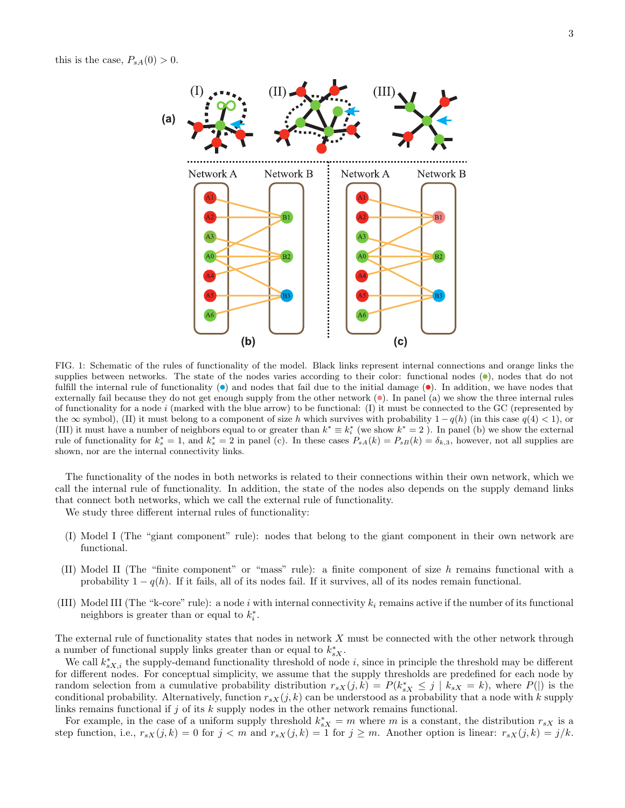this is the case,  $P_{sA}(0) > 0$ .



<span id="page-2-0"></span>FIG. 1: Schematic of the rules of functionality of the model. Black links represent internal connections and orange links the supplies between networks. The state of the nodes varies according to their color: functional nodes  $(•)$ , nodes that do not fulfill the internal rule of functionality  $\left( \bullet \right)$  and nodes that fail due to the initial damage  $\left( \bullet \right)$ . In addition, we have nodes that externally fail because they do not get enough supply from the other network  $(\bullet)$ . In panel (a) we show the three internal rules of functionality for a node  $i$  (marked with the blue arrow) to be functional: (I) it must be connected to the GC (represented by the  $\infty$  symbol), (II) it must belong to a component of size h which survives with probability  $1 - q(h)$  (in this case  $q(4) < 1$ ), or (III) it must have a number of neighbors equal to or greater than  $k^* \equiv k_i^*$  (we show  $k^* = 2$ ). In panel (b) we show the external rule of functionality for  $k_s^* = 1$ , and  $k_s^* = 2$  in panel (c). In these cases  $P_{sA}(k) = P_{sB}(k) = \delta_{k,3}$ , however, not all supplies are shown, nor are the internal connectivity links.

The functionality of the nodes in both networks is related to their connections within their own network, which we call the internal rule of functionality. In addition, the state of the nodes also depends on the supply demand links that connect both networks, which we call the external rule of functionality.

We study three different internal rules of functionality:

- (I) Model I (The "giant component" rule): nodes that belong to the giant component in their own network are functional.
- (II) Model II (The "finite component" or "mass" rule): a finite component of size h remains functional with a probability  $1 - q(h)$ . If it fails, all of its nodes fail. If it survives, all of its nodes remain functional.
- (III) Model III (The "k-core" rule): a node i with internal connectivity  $k_i$  remains active if the number of its functional neighbors is greater than or equal to  $k_i^*$ .

The external rule of functionality states that nodes in network X must be connected with the other network through a number of functional supply links greater than or equal to  $k_{sX}^*$ .

We call  $k_{sX,i}^*$  the supply-demand functionality threshold of node i, since in principle the threshold may be different for different nodes. For conceptual simplicity, we assume that the supply thresholds are predefined for each node by random selection from a cumulative probability distribution  $r_{sX}(j,k) = P(k_{sX}^* \leq j | k_{sX} = k)$ , where  $P(|)$  is the conditional probability. Alternatively, function  $r_{sX}(j, k)$  can be understood as a probability that a node with k supply links remains functional if  $j$  of its  $k$  supply nodes in the other network remains functional.

For example, in the case of a uniform supply threshold  $k_{sX}^* = m$  where m is a constant, the distribution  $r_{sX}$  is a step function, i.e.,  $r_{sX}(j,k) = 0$  for  $j < m$  and  $r_{sX}(j,k) = 1$  for  $j \geq m$ . Another option is linear:  $r_{sX}(j,k) = j/k$ .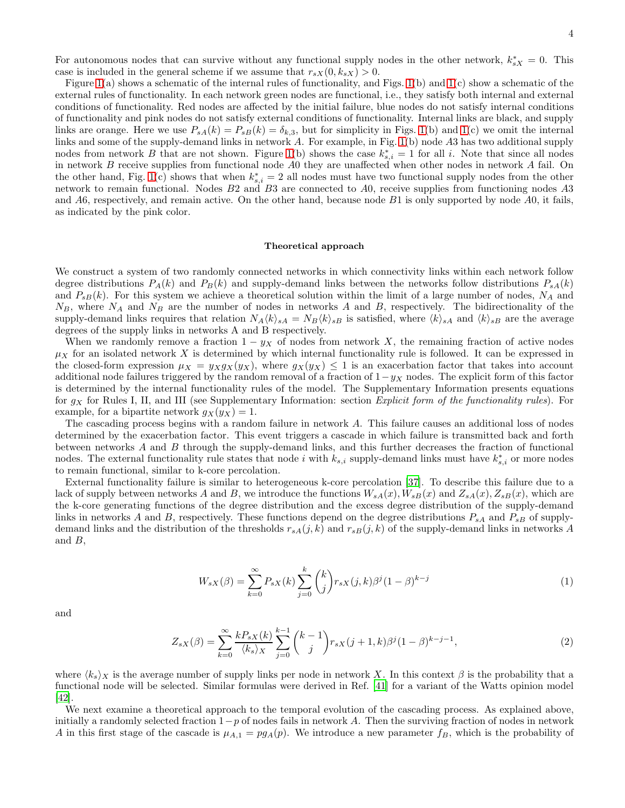For autonomous nodes that can survive without any functional supply nodes in the other network,  $k_{sX}^* = 0$ . This case is included in the general scheme if we assume that  $r_{sX}(0, k_{sX}) > 0$ .

Figure [1\(](#page-2-0)a) shows a schematic of the internal rules of functionality, and Figs. [1\(](#page-2-0)b) and [1\(](#page-2-0)c) show a schematic of the external rules of functionality. In each network green nodes are functional, i.e., they satisfy both internal and external conditions of functionality. Red nodes are affected by the initial failure, blue nodes do not satisfy internal conditions of functionality and pink nodes do not satisfy external conditions of functionality. Internal links are black, and supply links are orange. Here we use  $P_{sA}(k) = P_{sB}(k) = \delta_{k,3}$ , but for simplicity in Figs. [1\(](#page-2-0)b) and 1(c) we omit the internal links and some of the supply-demand links in network A. For example, in Fig. [1\(](#page-2-0)b) node A3 has two additional supply nodes from network B that are not shown. Figure [1\(](#page-2-0)b) shows the case  $k_{s,i}^* = 1$  for all i. Note that since all nodes in network B receive supplies from functional node A0 they are unaffected when other nodes in network A fail. On the other hand, Fig. [1\(](#page-2-0)c) shows that when  $k_{s,i}^* = 2$  all nodes must have two functional supply nodes from the other network to remain functional. Nodes B2 and B3 are connected to A0, receive supplies from functioning nodes A3 and A6, respectively, and remain active. On the other hand, because node B1 is only supported by node A0, it fails, as indicated by the pink color.

## Theoretical approach

We construct a system of two randomly connected networks in which connectivity links within each network follow degree distributions  $P_A(k)$  and  $P_B(k)$  and supply-demand links between the networks follow distributions  $P_{sA}(k)$ and  $P_{sB}(k)$ . For this system we achieve a theoretical solution within the limit of a large number of nodes,  $N_A$  and  $N_B$ , where  $N_A$  and  $N_B$  are the number of nodes in networks A and B, respectively. The bidirectionality of the supply-demand links requires that relation  $N_A \langle k \rangle_{sA} = N_B \langle k \rangle_{sB}$  is satisfied, where  $\langle k \rangle_{sA}$  and  $\langle k \rangle_{sB}$  are the average degrees of the supply links in networks A and B respectively.

When we randomly remove a fraction  $1 - y<sub>X</sub>$  of nodes from network X, the remaining fraction of active nodes  $\mu_X$  for an isolated network X is determined by which internal functionality rule is followed. It can be expressed in the closed-form expression  $\mu_X = y_X g_X(y_X)$ , where  $g_X(y_X) \leq 1$  is an exacerbation factor that takes into account additional node failures triggered by the random removal of a fraction of  $1-y_X$  nodes. The explicit form of this factor is determined by the internal functionality rules of the model. The Supplementary Information presents equations for  $g_X$  for Rules I, II, and III (see Supplementary Information: section *Explicit form of the functionality rules*). For example, for a bipartite network  $g_X(y_X) = 1$ .

The cascading process begins with a random failure in network A. This failure causes an additional loss of nodes determined by the exacerbation factor. This event triggers a cascade in which failure is transmitted back and forth between networks A and B through the supply-demand links, and this further decreases the fraction of functional nodes. The external functionality rule states that node i with  $k_{s,i}$  supply-demand links must have  $k_{s,i}^*$  or more nodes to remain functional, similar to k-core percolation.

External functionality failure is similar to heterogeneous k-core percolation [\[37](#page-16-9)]. To describe this failure due to a lack of supply between networks A and B, we introduce the functions  $W_{sA}(x)$ ,  $W_{sB}(x)$  and  $Z_{sA}(x)$ ,  $Z_{sB}(x)$ , which are the k-core generating functions of the degree distribution and the excess degree distribution of the supply-demand links in networks A and B, respectively. These functions depend on the degree distributions  $P_{sA}$  and  $P_{sB}$  of supplydemand links and the distribution of the thresholds  $r_{sA}(j, k)$  and  $r_{sB}(j, k)$  of the supply-demand links in networks A and B,

$$
W_{sX}(\beta) = \sum_{k=0}^{\infty} P_{sX}(k) \sum_{j=0}^{k} {k \choose j} r_{sX}(j,k) \beta^{j} (1-\beta)^{k-j}
$$
(1)

and

$$
Z_{sX}(\beta) = \sum_{k=0}^{\infty} \frac{k P_{sX}(k)}{\langle k_s \rangle_X} \sum_{j=0}^{k-1} {k-1 \choose j} r_{sX}(j+1,k) \beta^j (1-\beta)^{k-j-1},\tag{2}
$$

where  $\langle k_s \rangle_X$  is the average number of supply links per node in network X. In this context β is the probability that a functional node will be selected. Similar formulas were derived in Ref. [\[41](#page-16-10)] for a variant of the Watts opinion model [\[42\]](#page-16-11).

We next examine a theoretical approach to the temporal evolution of the cascading process. As explained above, initially a randomly selected fraction  $1-p$  of nodes fails in network A. Then the surviving fraction of nodes in network A in this first stage of the cascade is  $\mu_{A,1} = pg_A(p)$ . We introduce a new parameter  $f_B$ , which is the probability of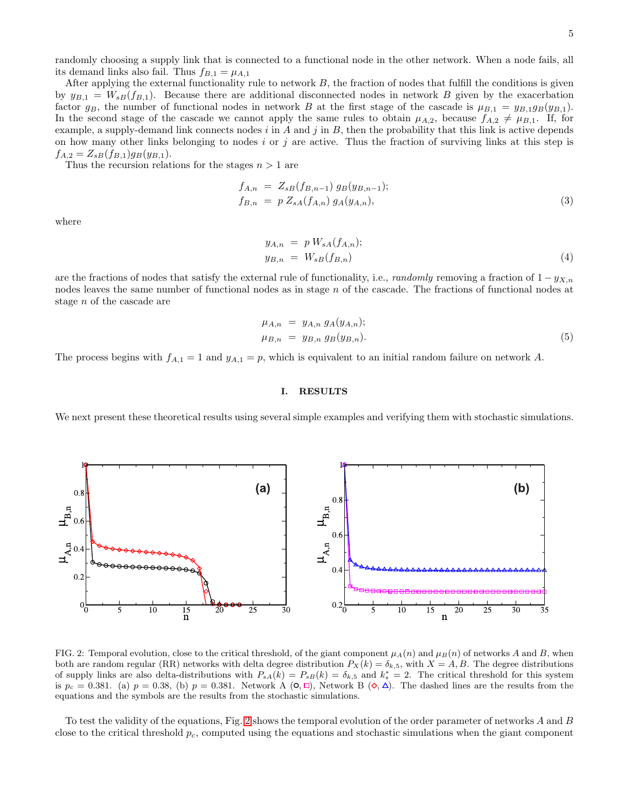randomly choosing a supply link that is connected to a functional node in the other network. When a node fails, all its demand links also fail. Thus  $f_{B,1} = \mu_{A,1}$ 

After applying the external functionality rule to network  $B$ , the fraction of nodes that fulfill the conditions is given by  $y_{B,1} = W_{sB}(f_{B,1})$ . Because there are additional disconnected nodes in network B given by the exacerbation factor  $g_B$ , the number of functional nodes in network B at the first stage of the cascade is  $\mu_{B,1} = y_{B,1}g_B(y_{B,1})$ . In the second stage of the cascade we cannot apply the same rules to obtain  $\mu_{A,2}$ , because  $f_{A,2} \neq \mu_{B,1}$ . If, for example, a supply-demand link connects nodes  $i$  in  $A$  and  $j$  in  $B$ , then the probability that this link is active depends on how many other links belonging to nodes i or j are active. Thus the fraction of surviving links at this step is  $f_{A,2} = Z_{sB}(f_{B,1})g_B(y_{B,1}).$ 

Thus the recursion relations for the stages  $n > 1$  are

<span id="page-4-1"></span>
$$
f_{A,n} = Z_{sB}(f_{B,n-1}) g_B(y_{B,n-1});
$$
  
\n
$$
f_{B,n} = p Z_{sA}(f_{A,n}) g_A(y_{A,n}),
$$
\n(3)

where

<span id="page-4-3"></span>
$$
y_{A,n} = p W_{sA}(f_{A,n});
$$
  
\n
$$
y_{B,n} = W_{sB}(f_{B,n})
$$
\n(4)

are the fractions of nodes that satisfy the external rule of functionality, i.e., *randomly* removing a fraction of  $1 - y_{X,n}$ nodes leaves the same number of functional nodes as in stage n of the cascade. The fractions of functional nodes at stage n of the cascade are

<span id="page-4-2"></span>
$$
\mu_{A,n} = y_{A,n} g_A(y_{A,n});
$$
  
\n
$$
\mu_{B,n} = y_{B,n} g_B(y_{B,n}).
$$
\n(5)

The process begins with  $f_{A,1} = 1$  and  $y_{A,1} = p$ , which is equivalent to an initial random failure on network A.

## I. RESULTS

We next present these theoretical results using several simple examples and verifying them with stochastic simulations.



<span id="page-4-0"></span>FIG. 2: Temporal evolution, close to the critical threshold, of the giant component  $\mu_A(n)$  and  $\mu_B(n)$  of networks A and B, when both are random regular (RR) networks with delta degree distribution  $P_X(k) = \delta_{k,5}$ , with  $X = A, B$ . The degree distributions of supply links are also delta-distributions with  $P_{sA}(k) = P_{sB}(k) = \delta_{k,5}$  and  $k_s^* = 2$ . The critical threshold for this system is  $p_c = 0.381$ . (a)  $p = 0.38$ , (b)  $p = 0.381$ . Network A  $(0, \Box)$ , Network B  $(\infty, \Delta)$ . The dashed lines are the results from the equations and the symbols are the results from the stochastic simulations.

To test the validity of the equations, Fig. [2](#page-4-0) shows the temporal evolution of the order parameter of networks A and B close to the critical threshold  $p_c$ , computed using the equations and stochastic simulations when the giant component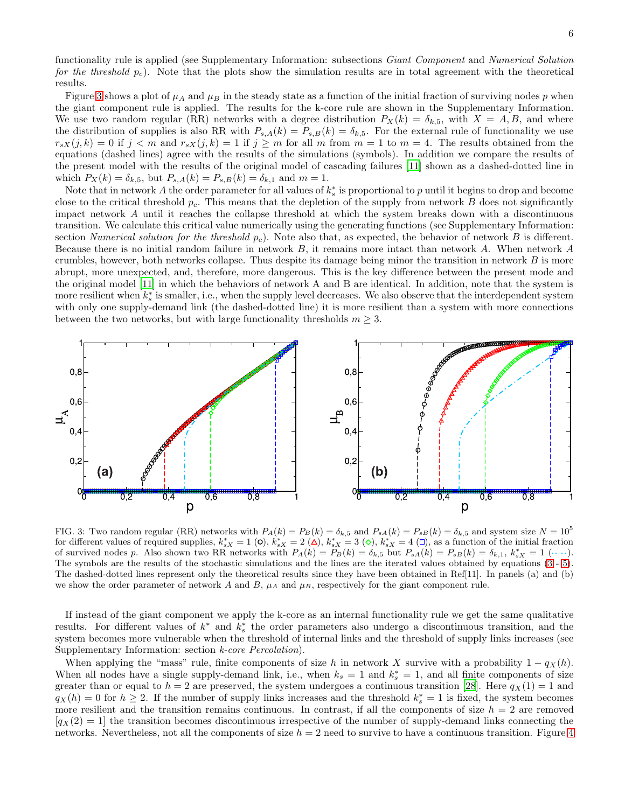functionality rule is applied (see Supplementary Information: subsections Giant Component and Numerical Solution for the threshold  $p_c$ ). Note that the plots show the simulation results are in total agreement with the theoretical results.

Figure [3](#page-5-0) shows a plot of  $\mu_A$  and  $\mu_B$  in the steady state as a function of the initial fraction of surviving nodes p when the giant component rule is applied. The results for the k-core rule are shown in the Supplementary Information. We use two random regular (RR) networks with a degree distribution  $P_X(k) = \delta_{k,5}$ , with  $X = A, B$ , and where the distribution of supplies is also RR with  $P_{s,A}(k) = P_{s,B}(k) = \delta_{k,5}$ . For the external rule of functionality we use  $r_{sX}(j,k) = 0$  if  $j < m$  and  $r_{sX}(j,k) = 1$  if  $j \ge m$  for all m from  $m = 1$  to  $m = 4$ . The results obtained from the equations (dashed lines) agree with the results of the simulations (symbols). In addition we compare the results of the present model with the results of the original model of cascading failures [\[11\]](#page-15-4) shown as a dashed-dotted line in which  $P_X(k) = \delta_{k,5}$ , but  $P_{s,A}(k) = P_{s,B}(k) = \delta_{k,1}$  and  $m = 1$ .

Note that in network A the order parameter for all values of  $k_s^*$  is proportional to p until it begins to drop and become close to the critical threshold  $p_c$ . This means that the depletion of the supply from network  $B$  does not significantly impact network A until it reaches the collapse threshold at which the system breaks down with a discontinuous transition. We calculate this critical value numerically using the generating functions (see Supplementary Information: section Numerical solution for the threshold  $p_c$ ). Note also that, as expected, the behavior of network B is different. Because there is no initial random failure in network B, it remains more intact than network A. When network A crumbles, however, both networks collapse. Thus despite its damage being minor the transition in network  $B$  is more abrupt, more unexpected, and, therefore, more dangerous. This is the key difference between the present mode and the original model [\[11\]](#page-15-4) in which the behaviors of network A and B are identical. In addition, note that the system is more resilient when  $k_s^*$  is smaller, i.e., when the supply level decreases. We also observe that the interdependent system with only one supply-demand link (the dashed-dotted line) it is more resilient than a system with more connections between the two networks, but with large functionality thresholds  $m \geq 3$ .



<span id="page-5-0"></span>FIG. 3: Two random regular (RR) networks with  $P_A(k) = P_B(k) = \delta_{k,5}$  and  $P_{sA}(k) = P_{sB}(k) = \delta_{k,5}$  and system size  $N = 10^5$ for different values of required supplies,  $k_{sX}^* = 1$  (0),  $k_{sX}^* = 2$  ( $\Delta$ ),  $k_{sX}^* = 3$  ( $\diamond$ ),  $k_{sX}^* = 4$  ( $\Box$ ), as a function of the initial fraction of survived nodes p. Also shown two RR networks with  $P_A(k) = P_B(k) = \delta_{k,5}$  but  $P_{sA}(k) = P_{sB}(k) = \delta_{k,1}$ ,  $k_{sX}^* = 1$  (.....). The symbols are the results of the stochastic simulations and the lines are the iterated values obtained by equations [\(3](#page-4-1) - [5\)](#page-4-2). The dashed-dotted lines represent only the theoretical results since they have been obtained in Ref[11]. In panels (a) and (b) we show the order parameter of network A and  $B$ ,  $\mu_A$  and  $\mu_B$ , respectively for the giant component rule.

If instead of the giant component we apply the k-core as an internal functionality rule we get the same qualitative results. For different values of  $k^*$  and  $k_s^*$  the order parameters also undergo a discontinuous transition, and the system becomes more vulnerable when the threshold of internal links and the threshold of supply links increases (see Supplementary Information: section *k-core Percolation*).

When applying the "mass" rule, finite components of size h in network X survive with a probability  $1 - q_X(h)$ . When all nodes have a single supply-demand link, i.e., when  $k_s = 1$  and  $k_s^* = 1$ , and all finite components of size greater than or equal to  $h = 2$  are preserved, the system undergoes a continuous transition [\[28](#page-16-1)]. Here  $q_X(1) = 1$  and  $q_X(h) = 0$  for  $h \geq 2$ . If the number of supply links increases and the threshold  $k_s^* = 1$  is fixed, the system becomes more resilient and the transition remains continuous. In contrast, if all the components of size  $h = 2$  are removed  $[q_X(2) = 1]$  the transition becomes discontinuous irrespective of the number of supply-demand links connecting the networks. Nevertheless, not all the components of size  $h = 2$  need to survive to have a continuous transition. Figure [4](#page-6-0)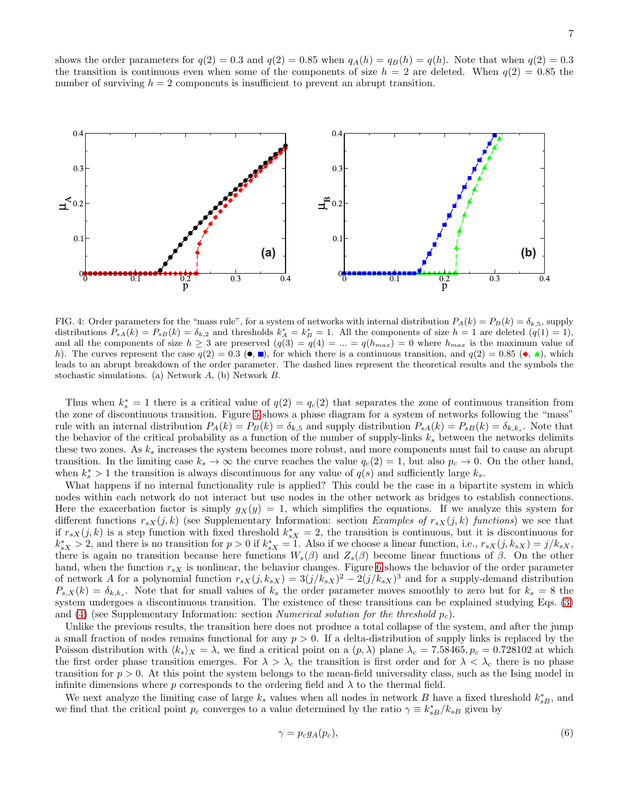shows the order parameters for  $q(2) = 0.3$  and  $q(2) = 0.85$  when  $q_A(h) = q_B(h) = q(h)$ . Note that when  $q(2) = 0.3$ the transition is continuous even when some of the components of size  $h = 2$  are deleted. When  $q(2) = 0.85$  the number of surviving  $h = 2$  components is insufficient to prevent an abrupt transition.



<span id="page-6-0"></span>FIG. 4: Order parameters for the "mass rule", for a system of networks with internal distribution  $P_A(k) = P_B(k) = \delta_{k,5}$ , supply distributions  $P_{sA}(k) = P_{sB}(k) = \delta_{k,2}$  and thresholds  $k_A^* = k_B^* = 1$ . All the components of size  $h = 1$  are deleted  $(q(1) = 1)$ , and all the components of size  $h \geq 3$  are preserved  $(q(3) = q(4) = ... = q(h_{max}) = 0$  where  $h_{max}$  is the maximum value of h). The curves represent the case  $q(2) = 0.3$  ( $\bullet$ ,  $\bullet$ ), for which there is a continuous transition, and  $q(2) = 0.85$  ( $\bullet$ ,  $\bullet$ ), which leads to an abrupt breakdown of the order parameter. The dashed lines represent the theoretical results and the symbols the stochastic simulations. (a) Network A, (b) Network B.

Thus when  $k_s^* = 1$  there is a critical value of  $q(2) = q_c(2)$  that separates the zone of continuous transition from the zone of discontinuous transition. Figure [5](#page-7-0) shows a phase diagram for a system of networks following the "mass" rule with an internal distribution  $P_A(k) = P_B(k) = \delta_{k,5}$  and supply distribution  $P_{SA}(k) = P_{SB}(k) = \delta_{k,k_s}$ . Note that the behavior of the critical probability as a function of the number of supply-links  $k_s$  between the networks delimits these two zones. As  $k_s$  increases the system becomes more robust, and more components must fail to cause an abrupt transition. In the limiting case  $k_s \to \infty$  the curve reaches the value  $q_c(2) = 1$ , but also  $p_c \to 0$ . On the other hand, when  $k_s^* > 1$  the transition is always discontinuous for any value of  $q(s)$  and sufficiently large  $k_s$ .

What happens if no internal functionality rule is applied? This could be the case in a bipartite system in which nodes within each network do not interact but use nodes in the other network as bridges to establish connections. Here the exacerbation factor is simply  $gx(y) = 1$ , which simplifies the equations. If we analyze this system for different functions  $r_{sX}(j,k)$  (see Supplementary Information: section Examples of  $r_{sX}(j,k)$  functions) we see that if  $r_{sX}(j,k)$  is a step function with fixed threshold  $k_{sX}^* = 2$ , the transition is continuous, but it is discontinuous for  $k_{sX}^* > 2$ , and there is no transition for  $p > 0$  if  $k_{sX}^* = 1$ . Also if we choose a linear function, i.e.,  $r_{sX}(j, k_{sX}) = j/k_{sX}$ , there is again no transition because here functions  $W_s(\beta)$  and  $Z_s(\beta)$  become linear functions of  $\beta$ . On the other hand, when the function  $r_{sX}$  is nonlinear, the behavior changes. Figure [6](#page-7-1) shows the behavior of the order parameter of network A for a polynomial function  $r_{sX}(j, k_{sX}) = 3(j/k_{sX})^2 - 2(j/k_{sX})^3$  and for a supply-demand distribution  $P_{s,X}(k) = \delta_{k,k_s}$ . Note that for small values of  $k_s$  the order parameter moves smoothly to zero but for  $k_s = 8$  the system undergoes a discontinuous transition. The existence of these transitions can be explained studying Eqs. [\(3\)](#page-4-1) and [\(4\)](#page-4-3) (see Supplementary Information: section Numerical solution for the threshold  $p_c$ ).

Unlike the previous results, the transition here does not produce a total collapse of the system, and after the jump a small fraction of nodes remains functional for any  $p > 0$ . If a delta-distribution of supply links is replaced by the Poisson distribution with  $\langle k_s \rangle_X = \lambda$ , we find a critical point on a  $(p, \lambda)$  plane  $\lambda_c = 7.58465$ ,  $p_c = 0.728102$  at which the first order phase transition emerges. For  $\lambda > \lambda_c$  the transition is first order and for  $\lambda < \lambda_c$  there is no phase transition for  $p > 0$ . At this point the system belongs to the mean-field universality class, such as the Ising model in infinite dimensions where p corresponds to the ordering field and  $\lambda$  to the thermal field.

We next analyze the limiting case of large  $k_s$  values when all nodes in network B have a fixed threshold  $k_{sB}^*$ , and we find that the critical point  $p_c$  converges to a value determined by the ratio  $\gamma \equiv k_{sB}^*/k_{sB}$  given by

<span id="page-6-1"></span>
$$
\gamma = p_c g_A(p_c),\tag{6}
$$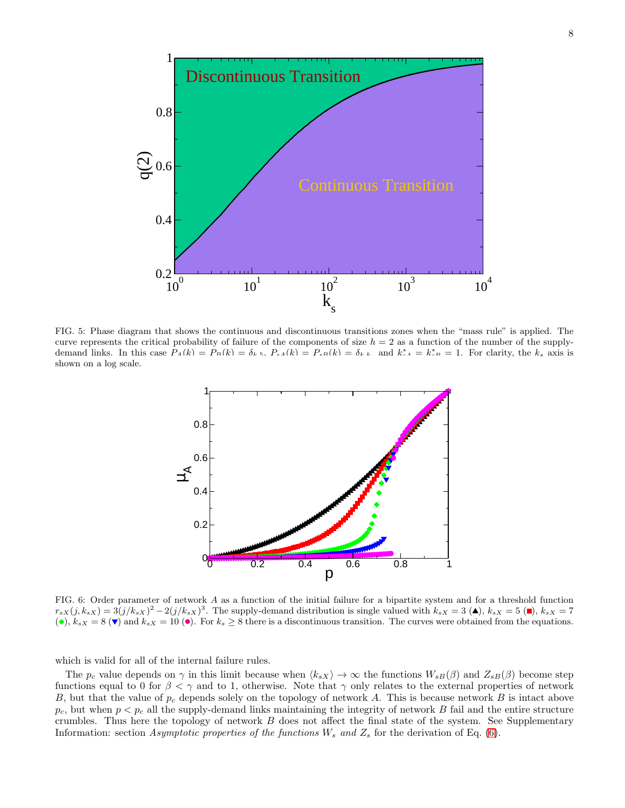

<span id="page-7-0"></span>FIG. 5: Phase diagram that shows the continuous and discontinuous transitions zones when the "mass rule" is applied. The curve represents the critical probability of failure of the components of size  $h = 2$  as a function of the number of the supplydemand links. In this case  $P_A(k) = P_B(k) = \delta_{k,k}$ ,  $P_{sA}(k) = P_{sB}(k) = \delta_{k,k}$  and  $k_{-A}^* = k_{-B}^* = 1$ . For clarity, the  $k_s$  axis is shown on a log scale.



<span id="page-7-1"></span>FIG. 6: Order parameter of network A as a function of the initial failure for a bipartite system and for a threshold function  $r_{sX}(j, k_{sX}) = 3(j/k_{sX})^2 - 2(j/k_{sX})^3$ . The supply-demand distribution is single valued with  $k_{sX} = 3$  (A),  $k_{sX} = 5$  (I),  $k_{sX} = 7$ ( $\bullet$ ),  $k_{sX} = 8$  ( $\bullet$ ) and  $k_{sX} = 10$  ( $\bullet$ ). For  $k_s \geq 8$  there is a discontinuous transition. The curves were obtained from the equations.

which is valid for all of the internal failure rules.

The  $p_c$  value depends on  $\gamma$  in this limit because when  $\langle k_s \rangle \to \infty$  the functions  $W_{sB}(\beta)$  and  $Z_{sB}(\beta)$  become step functions equal to 0 for  $\beta < \gamma$  and to 1, otherwise. Note that  $\gamma$  only relates to the external properties of network B, but that the value of  $p_c$  depends solely on the topology of network A. This is because network B is intact above  $p_c$ , but when  $p < p_c$  all the supply-demand links maintaining the integrity of network B fail and the entire structure crumbles. Thus here the topology of network  $B$  does not affect the final state of the system. See Supplementary Information: section Asymptotic properties of the functions  $W_s$  and  $Z_s$  for the derivation of Eq. [\(6\)](#page-6-1).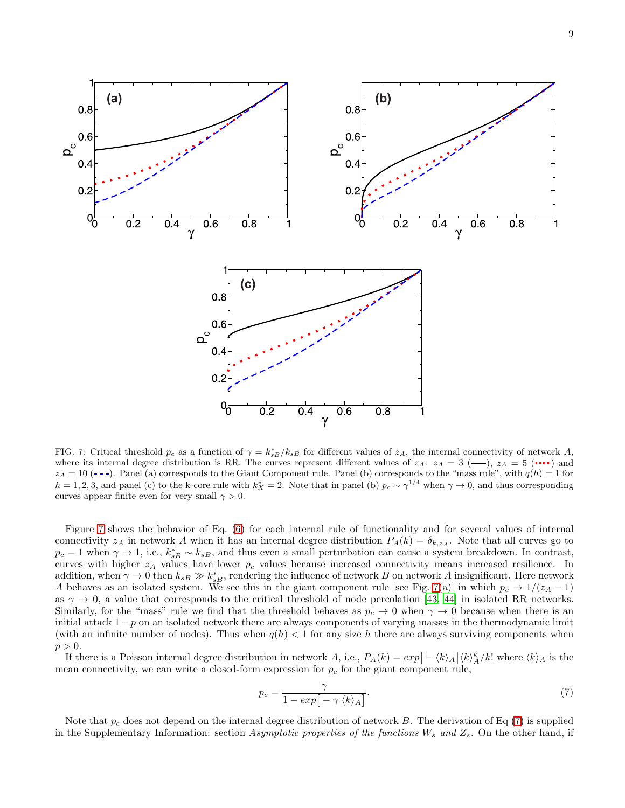

 $0.8$ 

 $0.6$ 

 $0.4$ 

 $0.2$ 

 $\frac{1}{2}$ 

 $\alpha^{\circ}$ 

04

02

 $0<sub>0</sub>$ 

 $\overline{0.2}$ 

 $\alpha^{\circ}$ 

<span id="page-8-0"></span>FIG. 7: Critical threshold  $p_c$  as a function of  $\gamma = k_{sB}^*/k_{sB}$  for different values of  $z_A$ , the internal connectivity of network A, where its internal degree distribution is RR. The curves represent different values of  $z_A$ :  $z_A = 3$  (-),  $z_A = 5$  (...) and  $z_A = 10$  ( $\text{-}$ -). Panel (a) corresponds to the Giant Component rule. Panel (b) corresponds to the "mass rule", with  $q(h) = 1$  for  $h = 1, 2, 3$ , and panel (c) to the k-core rule with  $k_X^* = 2$ . Note that in panel (b)  $p_c \sim \gamma^{1/4}$  when  $\gamma \to 0$ , and thus corresponding curves appear finite even for very small  $\gamma > 0$ .

 $\overline{0.4}$ 

 $\gamma$ 

 $\overline{0.6}$ 

 $\overline{0.8}$ 

Figure [7](#page-8-0) shows the behavior of Eq. [\(6\)](#page-6-1) for each internal rule of functionality and for several values of internal connectivity  $z_A$  in network A when it has an internal degree distribution  $P_A(k) = \delta_{k,z_A}$ . Note that all curves go to  $p_c = 1$  when  $\gamma \to 1$ , i.e.,  $k_{sB}^* \sim k_{sB}$ , and thus even a small perturbation can cause a system breakdown. In contrast, curves with higher  $z_A$  values have lower  $p_c$  values because increased connectivity means increased resilience. In addition, when  $\gamma \to 0$  then  $k_{sB} \gg k_{sB}^*$ , rendering the influence of network B on network A insignificant. Here network A behaves as an isolated system. We see this in the giant component rule [see Fig. [7\(](#page-8-0)a)] in which  $p_c \to 1/(z_A - 1)$ as  $\gamma \to 0$ , a value that corresponds to the critical threshold of node percolation [\[43,](#page-16-12) [44](#page-16-13)] in isolated RR networks. Similarly, for the "mass" rule we find that the threshold behaves as  $p_c \to 0$  when  $\gamma \to 0$  because when there is an initial attack  $1-p$  on an isolated network there are always components of varying masses in the thermodynamic limit (with an infinite number of nodes). Thus when  $q(h) < 1$  for any size h there are always surviving components when  $p > 0$ .

If there is a Poisson internal degree distribution in network A, i.e.,  $P_A(k) = exp[-\langle k \rangle_A] \langle k \rangle_A^k / k!$  where  $\langle k \rangle_A$  is the mean connectivity, we can write a closed-form expression for  $p_c$  for the giant component rule,

<span id="page-8-1"></span>
$$
p_c = \frac{\gamma}{1 - exp\left[-\gamma \langle k \rangle_A\right]}.\tag{7}
$$

Note that  $p_c$  does not depend on the internal degree distribution of network B. The derivation of Eq [\(7\)](#page-8-1) is supplied in the Supplementary Information: section Asymptotic properties of the functions  $W_s$  and  $Z_s$ . On the other hand, if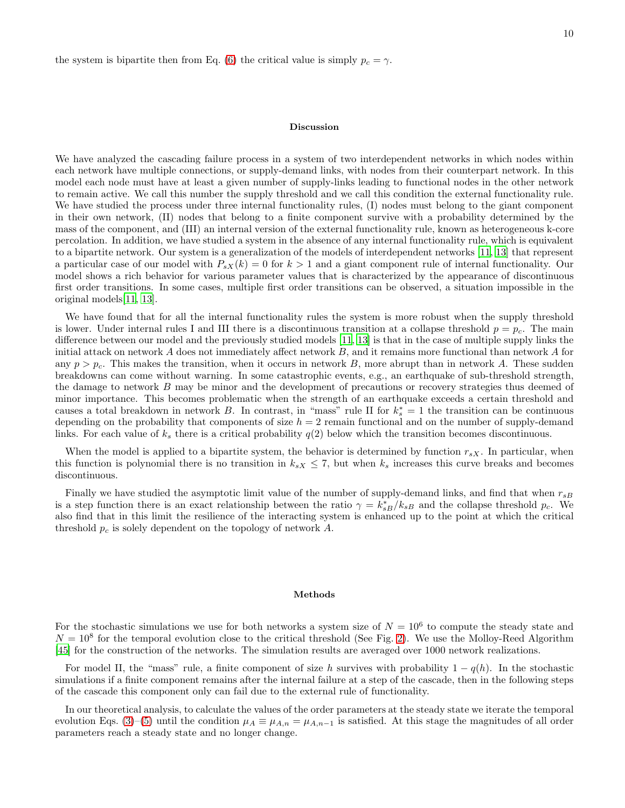the system is bipartite then from Eq. [\(6\)](#page-6-1) the critical value is simply  $p_c = \gamma$ .

#### Discussion

We have analyzed the cascading failure process in a system of two interdependent networks in which nodes within each network have multiple connections, or supply-demand links, with nodes from their counterpart network. In this model each node must have at least a given number of supply-links leading to functional nodes in the other network to remain active. We call this number the supply threshold and we call this condition the external functionality rule. We have studied the process under three internal functionality rules, (I) nodes must belong to the giant component in their own network, (II) nodes that belong to a finite component survive with a probability determined by the mass of the component, and (III) an internal version of the external functionality rule, known as heterogeneous k-core percolation. In addition, we have studied a system in the absence of any internal functionality rule, which is equivalent to a bipartite network. Our system is a generalization of the models of interdependent networks [\[11,](#page-15-4) [13\]](#page-15-8) that represent a particular case of our model with  $P_{sX}(k) = 0$  for  $k > 1$  and a giant component rule of internal functionality. Our model shows a rich behavior for various parameter values that is characterized by the appearance of discontinuous first order transitions. In some cases, multiple first order transitions can be observed, a situation impossible in the original models[\[11,](#page-15-4) [13](#page-15-8)].

We have found that for all the internal functionality rules the system is more robust when the supply threshold is lower. Under internal rules I and III there is a discontinuous transition at a collapse threshold  $p = p_c$ . The main difference between our model and the previously studied models [\[11,](#page-15-4) [13](#page-15-8)] is that in the case of multiple supply links the initial attack on network A does not immediately affect network B, and it remains more functional than network A for any  $p > p_c$ . This makes the transition, when it occurs in network B, more abrupt than in network A. These sudden breakdowns can come without warning. In some catastrophic events, e.g., an earthquake of sub-threshold strength, the damage to network B may be minor and the development of precautions or recovery strategies thus deemed of minor importance. This becomes problematic when the strength of an earthquake exceeds a certain threshold and causes a total breakdown in network B. In contrast, in "mass" rule II for  $k_s^* = 1$  the transition can be continuous depending on the probability that components of size  $h = 2$  remain functional and on the number of supply-demand links. For each value of  $k<sub>s</sub>$  there is a critical probability  $q(2)$  below which the transition becomes discontinuous.

When the model is applied to a bipartite system, the behavior is determined by function  $r_{sX}$ . In particular, when this function is polynomial there is no transition in  $k_{sX} \leq 7$ , but when  $k_s$  increases this curve breaks and becomes discontinuous.

Finally we have studied the asymptotic limit value of the number of supply-demand links, and find that when  $r_{sB}$ is a step function there is an exact relationship between the ratio  $\gamma = k_{sB}^*/k_{sB}$  and the collapse threshold  $p_c$ . We also find that in this limit the resilience of the interacting system is enhanced up to the point at which the critical threshold  $p_c$  is solely dependent on the topology of network A.

#### Methods

For the stochastic simulations we use for both networks a system size of  $N = 10^6$  to compute the steady state and  $N = 10<sup>8</sup>$  for the temporal evolution close to the critical threshold (See Fig. [2\)](#page-4-0). We use the Molloy-Reed Algorithm [\[45\]](#page-16-14) for the construction of the networks. The simulation results are averaged over 1000 network realizations.

For model II, the "mass" rule, a finite component of size h survives with probability  $1 - q(h)$ . In the stochastic simulations if a finite component remains after the internal failure at a step of the cascade, then in the following steps of the cascade this component only can fail due to the external rule of functionality.

In our theoretical analysis, to calculate the values of the order parameters at the steady state we iterate the temporal evolution Eqs. [\(3\)](#page-4-1)–[\(5\)](#page-4-2) until the condition  $\mu_A \equiv \mu_{A,n} = \mu_{A,n-1}$  is satisfied. At this stage the magnitudes of all order parameters reach a steady state and no longer change.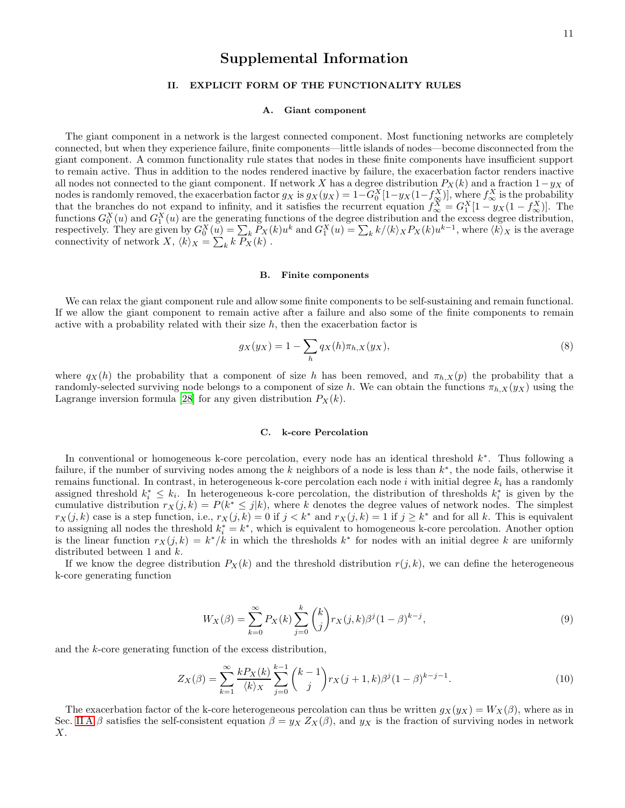# Supplemental Information

## II. EXPLICIT FORM OF THE FUNCTIONALITY RULES

### <span id="page-10-0"></span>A. Giant component

The giant component in a network is the largest connected component. Most functioning networks are completely connected, but when they experience failure, finite components—little islands of nodes—become disconnected from the giant component. A common functionality rule states that nodes in these finite components have insufficient support to remain active. Thus in addition to the nodes rendered inactive by failure, the exacerbation factor renders inactive all nodes not connected to the giant component. If network X has a degree distribution  $P_X(k)$  and a fraction  $1-y_X$  of nodes is randomly removed, the exacerbation factor  $g_X$  is  $g_X(y_X) = 1-G_0^X[1-y_X(1-f_\infty^X)]$ , where  $f_\infty^X$  is the probability that the branches do not expand to infinity, and it satisfies the recurrent equation  $f_{\infty}^X = G_1^X[1 - y_X(1 - f_{\infty}^X)]$ . The functions  $G_0^X(u)$  and  $G_1^X(u)$  are the generating functions of the degree distribution and the excess degree distribution, respectively. They are given by  $G_0^X(\underline{u}) = \sum_k P_X(k)u^k$  and  $G_1^X(u) = \sum_k k/\langle k \rangle_X P_X(k)u^{k-1}$ , where  $\langle k \rangle_X$  is the average connectivity of network  $X, \langle k \rangle_X = \sum_k k \ P_X(k)$ .

### B. Finite components

We can relax the giant component rule and allow some finite components to be self-sustaining and remain functional. If we allow the giant component to remain active after a failure and also some of the finite components to remain active with a probability related with their size  $h$ , then the exacerbation factor is

$$
g_X(y_X) = 1 - \sum_h q_X(h)\pi_{h,X}(y_X),
$$
\n(8)

where  $q_X(h)$  the probability that a component of size h has been removed, and  $\pi_{h,X}(p)$  the probability that a randomly-selected surviving node belongs to a component of size h. We can obtain the functions  $\pi_{h,X}(y_X)$  using the Lagrange inversion formula [\[28\]](#page-16-1) for any given distribution  $P_X(k)$ .

## C. k-core Percolation

In conventional or homogeneous k-core percolation, every node has an identical threshold  $k^*$ . Thus following a failure, if the number of surviving nodes among the k neighbors of a node is less than  $k^*$ , the node fails, otherwise it remains functional. In contrast, in heterogeneous k-core percolation each node i with initial degree  $k_i$  has a randomly assigned threshold  $k_i^* \leq k_i$ . In heterogeneous k-core percolation, the distribution of thresholds  $k_i^*$  is given by the cumulative distribution  $r_X(j,k) = P(k^* \leq j|k)$ , where k denotes the degree values of network nodes. The simplest  $r_X(j,k)$  case is a step function, i.e.,  $r_X(j,k) = 0$  if  $j < k^*$  and  $r_X(j,k) = 1$  if  $j \geq k^*$  and for all k. This is equivalent to assigning all nodes the threshold  $k_i^* = k^*$ , which is equivalent to homogeneous k-core percolation. Another option is the linear function  $r_X(j,k) = k^*/k$  in which the thresholds  $k^*$  for nodes with an initial degree k are uniformly distributed between 1 and k.

If we know the degree distribution  $P_X(k)$  and the threshold distribution  $r(j, k)$ , we can define the heterogeneous k-core generating function

$$
W_X(\beta) = \sum_{k=0}^{\infty} P_X(k) \sum_{j=0}^{k} {k \choose j} r_X(j,k) \beta^j (1-\beta)^{k-j},
$$
\n(9)

and the k-core generating function of the excess distribution,

$$
Z_X(\beta) = \sum_{k=1}^{\infty} \frac{k P_X(k)}{\langle k \rangle_X} \sum_{j=0}^{k-1} {k-1 \choose j} r_X(j+1,k) \beta^j (1-\beta)^{k-j-1}.
$$
 (10)

The exacerbation factor of the k-core heterogeneous percolation can thus be written  $g_X(y_X) = W_X(\beta)$ , where as in Sec. [II A](#page-10-0) β satisfies the self-consistent equation  $\beta = y_X Z_X(\beta)$ , and  $y_X$  is the fraction of surviving nodes in network  $X$ .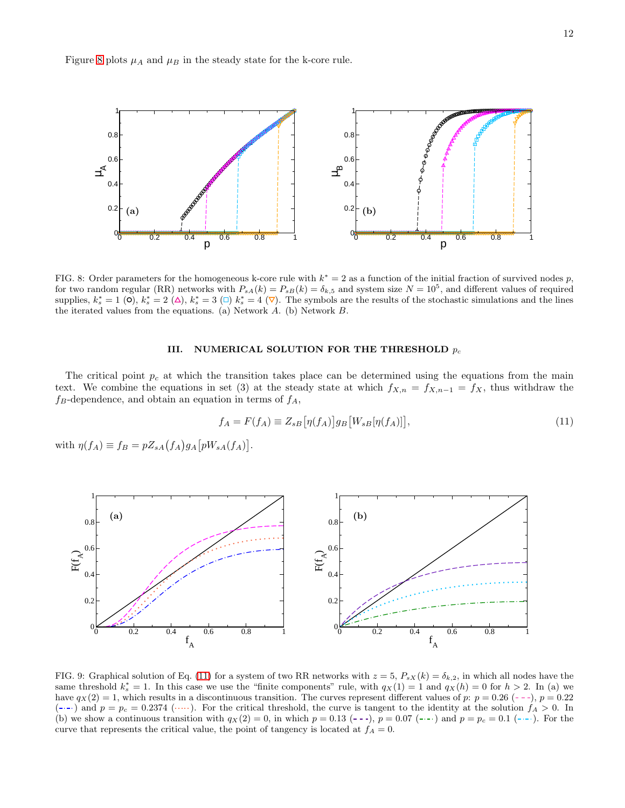Figure [8](#page-11-0) plots  $\mu_A$  and  $\mu_B$  in the steady state for the k-core rule.



<span id="page-11-0"></span>FIG. 8: Order parameters for the homogeneous k-core rule with  $k^* = 2$  as a function of the initial fraction of survived nodes p, for two random regular (RR) networks with  $P_{sA}(k) = P_{sB}(k) = \delta_{k,5}$  and system size  $N = 10^5$ , and different values of required supplies,  $k_s^* = 1$  (0),  $k_s^* = 2$  ( $\Delta$ ),  $k_s^* = 3$  ( $\Box$ )  $k_s^* = 4$  ( $\nabla$ ). The symbols are the results of the stochastic simulations and the lines the iterated values from the equations. (a) Network A. (b) Network B.

#### III. NUMERICAL SOLUTION FOR THE THRESHOLD  $p_c$

The critical point  $p_c$  at which the transition takes place can be determined using the equations from the main text. We combine the equations in set (3) at the steady state at which  $f_{X,n} = f_{X,n-1} = f_X$ , thus withdraw the  $f_B$ -dependence, and obtain an equation in terms of  $f_A$ ,

<span id="page-11-1"></span>
$$
f_A = F(f_A) \equiv Z_{sB} \left[ \eta(f_A) \right] g_B \left[ W_{sB} \left[ \eta(f_A) \right] \right],\tag{11}
$$

with  $\eta(f_A) \equiv f_B = pZ_{sA}(f_A)g_A[pW_{sA}(f_A)].$ 



<span id="page-11-2"></span>FIG. 9: Graphical solution of Eq. [\(11\)](#page-11-1) for a system of two RR networks with  $z = 5$ ,  $P_{sX}(k) = \delta_{k,2}$ , in which all nodes have the same threshold  $k_s^* = 1$ . In this case we use the "finite components" rule, with  $q_X(1) = 1$  and  $q_X(h) = 0$  for  $h > 2$ . In (a) we have  $q_X(2) = 1$ , which results in a discontinuous transition. The curves represent different values of p:  $p = 0.26$  (---),  $p = 0.22$  $(-)$  and  $p = p_c = 0.2374$  (...). For the critical threshold, the curve is tangent to the identity at the solution  $f_A > 0$ . In (b) we show a continuous transition with  $q_X (2) = 0$ , in which  $p = 0.13$  (---),  $p = 0.07$  (---) and  $p = p_c = 0.1$  (---). For the curve that represents the critical value, the point of tangency is located at  $f_A = 0$ .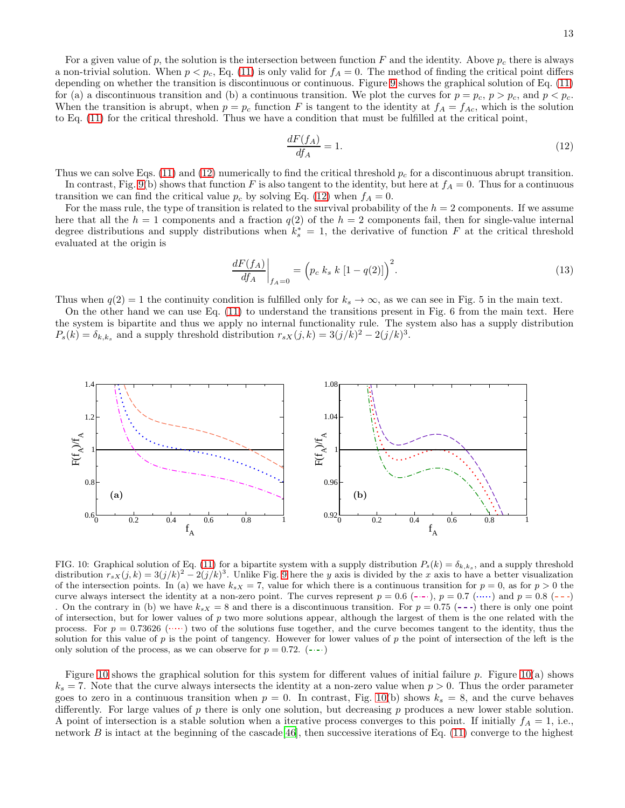For a given value of p, the solution is the intersection between function F and the identity. Above  $p_c$  there is always a non-trivial solution. When  $p < p_c$ , Eq. [\(11\)](#page-11-1) is only valid for  $f_A = 0$ . The method of finding the critical point differs depending on whether the transition is discontinuous or continuous. Figure [9](#page-11-2) shows the graphical solution of Eq. [\(11\)](#page-11-1) for (a) a discontinuous transition and (b) a continuous transition. We plot the curves for  $p = p_c$ ,  $p > p_c$ , and  $p < p_c$ . When the transition is abrupt, when  $p = p_c$  function F is tangent to the identity at  $f_A = f_{Ac}$ , which is the solution to Eq. [\(11\)](#page-11-1) for the critical threshold. Thus we have a condition that must be fulfilled at the critical point,

<span id="page-12-0"></span>
$$
\frac{dF(f_A)}{df_A} = 1.\tag{12}
$$

Thus we can solve Eqs. [\(11\)](#page-11-1) and [\(12\)](#page-12-0) numerically to find the critical threshold  $p_c$  for a discontinuous abrupt transition. In contrast, Fig. [9\(](#page-11-2)b) shows that function F is also tangent to the identity, but here at  $f_A = 0$ . Thus for a continuous transition we can find the critical value  $p_c$  by solving Eq. [\(12\)](#page-12-0) when  $f_A = 0$ .

For the mass rule, the type of transition is related to the survival probability of the  $h = 2$  components. If we assume here that all the  $h = 1$  components and a fraction  $q(2)$  of the  $h = 2$  components fail, then for single-value internal degree distributions and supply distributions when  $k_s^* = 1$ , the derivative of function F at the critical threshold evaluated at the origin is

$$
\left. \frac{dF(f_A)}{df_A} \right|_{f_A=0} = \left( p_c \; k_s \; k \; [1 - q(2)] \right)^2. \tag{13}
$$

Thus when  $q(2) = 1$  the continuity condition is fulfilled only for  $k_s \to \infty$ , as we can see in Fig. 5 in the main text.

On the other hand we can use Eq. [\(11\)](#page-11-1) to understand the transitions present in Fig. 6 from the main text. Here the system is bipartite and thus we apply no internal functionality rule. The system also has a supply distribution  $P_s(k) = \delta_{k,k_s}$  and a supply threshold distribution  $r_{sX}(j,k) = 3(j/k)^2 - 2(j/k)^3$ .



<span id="page-12-1"></span>FIG. 10: Graphical solution of Eq. [\(11\)](#page-11-1) for a bipartite system with a supply distribution  $P_s(k) = \delta_{k,k_s}$ , and a supply threshold distribution  $r_{sX}(j,k) = 3(j/k)^2 - 2(j/k)^3$ . Unlike Fig. [9](#page-11-2) here the y axis is divided by the x axis to have a better visualization of the intersection points. In (a) we have  $k_{sX} = 7$ , value for which there is a continuous transition for  $p = 0$ , as for  $p > 0$  the curve always intersect the identity at a non-zero point. The curves represent  $p = 0.6$  ( $\cdots$ ),  $p = 0.7$  ( $\cdots$ ) and  $p = 0.8$  ( $\cdots$ ) On the contrary in (b) we have  $k_{sX} = 8$  and there is a discontinuous transition. For  $p = 0.75$  (---) there is only one point of intersection, but for lower values of  $p$  two more solutions appear, although the largest of them is the one related with the process. For  $p = 0.73626$  ( $\cdots$ ) two of the solutions fuse together, and the curve becomes tangent to the identity, thus the solution for this value of p is the point of tangency. However for lower values of p the point of intersection of the left is the only solution of the process, as we can observe for  $p = 0.72$ . ( $\leftarrow$ )

Figure [10](#page-12-1) shows the graphical solution for this system for different values of initial failure p. Figure [10\(](#page-12-1)a) shows  $k<sub>s</sub> = 7$ . Note that the curve always intersects the identity at a non-zero value when  $p > 0$ . Thus the order parameter goes to zero in a continuous transition when  $p = 0$ . In contrast, Fig. [10\(](#page-12-1)b) shows  $k_s = 8$ , and the curve behaves differently. For large values of p there is only one solution, but decreasing p produces a new lower stable solution. A point of intersection is a stable solution when a iterative process converges to this point. If initially  $f_A = 1$ , i.e., network  $B$  is intact at the beginning of the cascade [\[46\]](#page-16-15), then successive iterations of Eq. [\(11\)](#page-11-1) converge to the highest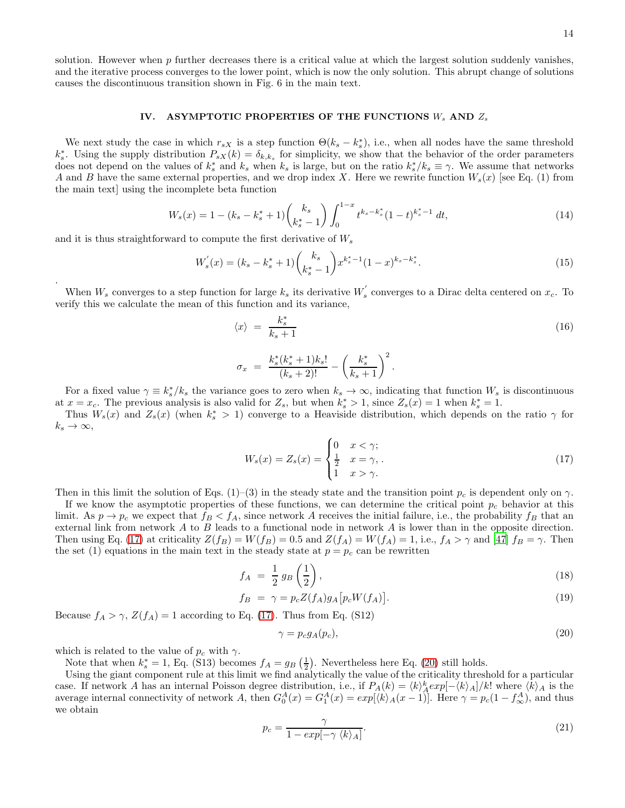solution. However when  $p$  further decreases there is a critical value at which the largest solution suddenly vanishes, and the iterative process converges to the lower point, which is now the only solution. This abrupt change of solutions causes the discontinuous transition shown in Fig. 6 in the main text.

# IV. ASYMPTOTIC PROPERTIES OF THE FUNCTIONS  $W_s$  AND  $Z_s$

We next study the case in which  $r_{sX}$  is a step function  $\Theta(k_s - k_s^*)$ , i.e., when all nodes have the same threshold  $k_s^*$ . Using the supply distribution  $P_{sX}(k) = \delta_{k,k_s}$  for simplicity, we show that the behavior of the order parameters does not depend on the values of  $k_s^*$  and  $k_s$  when  $k_s$  is large, but on the ratio  $k_s^*/k_s \equiv \gamma$ . We assume that networks A and B have the same external properties, and we drop index X. Here we rewrite function  $W_s(x)$  [see Eq. (1) from the main text] using the incomplete beta function

$$
W_s(x) = 1 - (k_s - k_s^* + 1) \binom{k_s}{k_s^* - 1} \int_0^{1-x} t^{k_s - k_s^*} (1 - t)^{k_s^* - 1} dt,
$$
\n(14)

and it is thus straightforward to compute the first derivative of  $W_s$ 

.

$$
W_s'(x) = (k_s - k_s^* + 1) \binom{k_s}{k_s^* - 1} x^{k_s^* - 1} (1 - x)^{k_s - k_s^*}. \tag{15}
$$

When  $W_s$  converges to a step function for large  $k_s$  its derivative  $W_s'$  $s$  converges to a Dirac delta centered on  $x_c$ . To verify this we calculate the mean of this function and its variance,

$$
\langle x \rangle = \frac{k_s^*}{k_s + 1}
$$
  
\n
$$
\sigma_x = \frac{k_s^*(k_s^* + 1)k_s!}{(k_s + 2)!} - \left(\frac{k_s^*}{k_s + 1}\right)^2.
$$
\n(16)

For a fixed value  $\gamma \equiv k_s^*/k_s$  the variance goes to zero when  $k_s \to \infty$ , indicating that function  $W_s$  is discontinuous at  $x = x_c$ . The previous analysis is also valid for  $Z_s$ , but when  $k_s^* > 1$ , since  $Z_s(x) = 1$  when  $k_s^* = 1$ .

Thus  $W_s(x)$  and  $Z_s(x)$  (when  $k_s^* > 1$ ) converge to a Heaviside distribution, which depends on the ratio  $\gamma$  for  $k_s \to \infty$ ,

<span id="page-13-0"></span>
$$
W_s(x) = Z_s(x) = \begin{cases} 0 & x < \gamma; \\ \frac{1}{2} & x = \gamma, \\ 1 & x > \gamma. \end{cases} \tag{17}
$$

Then in this limit the solution of Eqs. (1)–(3) in the steady state and the transition point  $p_c$  is dependent only on  $\gamma$ .

If we know the asymptotic properties of these functions, we can determine the critical point  $p_c$  behavior at this limit. As  $p \to p_c$  we expect that  $f_B < f_A$ , since network A receives the initial failure, i.e., the probability  $f_B$  that an external link from network  $A$  to  $B$  leads to a functional node in network  $A$  is lower than in the opposite direction. Then using Eq. [\(17\)](#page-13-0) at criticality  $Z(f_B) = W(f_B) = 0.5$  and  $Z(f_A) = W(f_A) = 1$ , i.e.,  $f_A > \gamma$  and [\[47\]](#page-16-16)  $f_B = \gamma$ . Then the set (1) equations in the main text in the steady state at  $p = p_c$  can be rewritten

$$
f_A = \frac{1}{2} g_B \left(\frac{1}{2}\right),\tag{18}
$$

$$
f_B = \gamma = p_c Z(f_A) g_A [p_c W(f_A)]. \qquad (19)
$$

Because  $f_A > \gamma$ ,  $Z(f_A) = 1$  according to Eq. [\(17\)](#page-13-0). Thus from Eq. (S12)

<span id="page-13-1"></span>
$$
\gamma = p_c g_A(p_c),\tag{20}
$$

which is related to the value of  $p_c$  with  $\gamma$ .

Note that when  $k_s^* = 1$ , Eq. (S13) becomes  $f_A = g_B\left(\frac{1}{2}\right)$ . Nevertheless here Eq. [\(20\)](#page-13-1) still holds.

Using the giant component rule at this limit we find analytically the value of the criticality threshold for a particular case. If network A has an internal Poisson degree distribution, i.e., if  $P_A(k) = \langle k \rangle_A^k exp[-\langle k \rangle_A]/k!$  where  $\langle k \rangle_A$  is the average internal connectivity of network A, then  $G_0^A(x) = G_1^A(x) = exp(k_A(x-1))$ . Here  $\gamma = p_c(1-f_\infty^A)$ , and thus we obtain

$$
p_c = \frac{\gamma}{1 - exp[-\gamma \langle k \rangle_A]}.
$$
\n(21)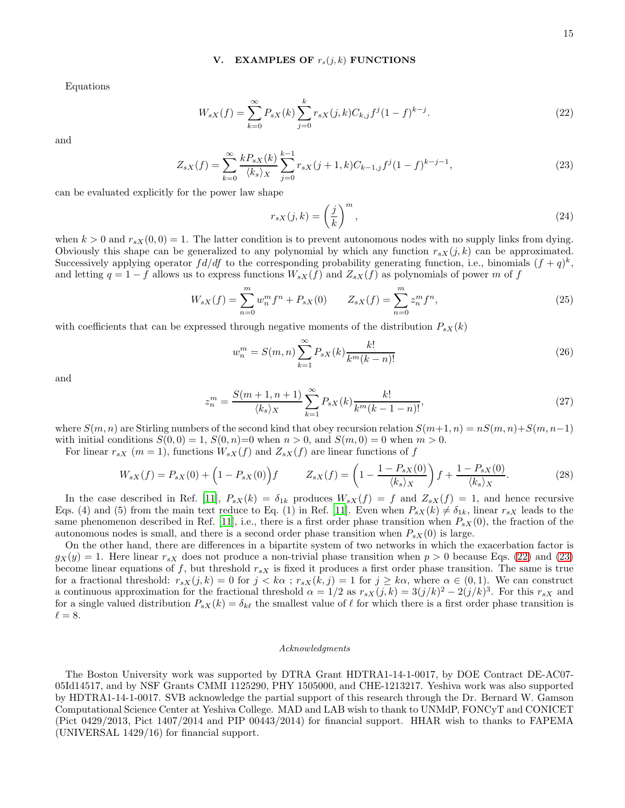#### V. EXAMPLES OF  $r_s(j,k)$  FUNCTIONS

Equations

<span id="page-14-0"></span>
$$
W_{sX}(f) = \sum_{k=0}^{\infty} P_{sX}(k) \sum_{j=0}^{k} r_{sX}(j,k) C_{k,j} f^{j} (1-f)^{k-j}.
$$
 (22)

and

<span id="page-14-1"></span>
$$
Z_{sX}(f) = \sum_{k=0}^{\infty} \frac{k P_{sX}(k)}{\langle k_s \rangle_X} \sum_{j=0}^{k-1} r_{sX}(j+1,k) C_{k-1,j} f^j (1-f)^{k-j-1},\tag{23}
$$

can be evaluated explicitly for the power law shape

$$
r_{sX}(j,k) = \left(\frac{j}{k}\right)^m,\tag{24}
$$

when  $k > 0$  and  $r_{sX}(0, 0) = 1$ . The latter condition is to prevent autonomous nodes with no supply links from dying. Obviously this shape can be generalized to any polynomial by which any function  $r_{sX}(j, k)$  can be approximated. Successively applying operator  $fd/df$  to the corresponding probability generating function, i.e., binomials  $(f+q)^k$ , and letting  $q = 1 - f$  allows us to express functions  $W_{sX}(f)$  and  $Z_{sX}(f)$  as polynomials of power m of f

$$
W_{sX}(f) = \sum_{n=0}^{m} w_n^m f^n + P_{sX}(0) \qquad Z_{sX}(f) = \sum_{n=0}^{m} z_n^m f^n,
$$
\n(25)

with coefficients that can be expressed through negative moments of the distribution  $P_{sX}(k)$ 

$$
w_n^m = S(m, n) \sum_{k=1}^{\infty} P_{sX}(k) \frac{k!}{k^m (k-n)!}
$$
 (26)

and

$$
z_n^m = \frac{S(m+1, n+1)}{\langle k_s \rangle_X} \sum_{k=1}^{\infty} P_{sX}(k) \frac{k!}{k^m (k-1-n)!},
$$
\n(27)

where  $S(m, n)$  are Stirling numbers of the second kind that obey recursion relation  $S(m+1, n) = nS(m, n)+S(m, n-1)$ with initial conditions  $S(0, 0) = 1$ ,  $S(0, n) = 0$  when  $n > 0$ , and  $S(m, 0) = 0$  when  $m > 0$ .

For linear  $r_{sX}$  ( $m = 1$ ), functions  $W_{sX}(f)$  and  $Z_{sX}(f)$  are linear functions of f

$$
W_{sX}(f) = P_{sX}(0) + \left(1 - P_{sX}(0)\right)f \qquad Z_{sX}(f) = \left(1 - \frac{1 - P_{sX}(0)}{\langle k_s \rangle_X}\right)f + \frac{1 - P_{sX}(0)}{\langle k_s \rangle_X}.
$$
 (28)

In the case described in Ref. [\[11\]](#page-15-4),  $P_{sX}(k) = \delta_{1k}$  produces  $W_{sX}(f) = f$  and  $Z_{sX}(f) = 1$ , and hence recursive Eqs. (4) and (5) from the main text reduce to Eq. (1) in Ref. [\[11\]](#page-15-4). Even when  $P_{sX}(k) \neq \delta_{1k}$ , linear  $r_{sX}$  leads to the same phenomenon described in Ref. [\[11](#page-15-4)], i.e., there is a first order phase transition when  $P_{sX}(0)$ , the fraction of the autonomous nodes is small, and there is a second order phase transition when  $P_{sX}(0)$  is large.

On the other hand, there are differences in a bipartite system of two networks in which the exacerbation factor is  $g_X(y) = 1$ . Here linear  $r_{sX}$  does not produce a non-trivial phase transition when  $p > 0$  because Eqs. [\(22\)](#page-14-0) and [\(23\)](#page-14-1) become linear equations of f, but threshold  $r_{sX}$  is fixed it produces a first order phase transition. The same is true for a fractional threshold:  $r_{sX}(j,k) = 0$  for  $j < k\alpha$ ;  $r_{sX}(k,j) = 1$  for  $j \geq k\alpha$ , where  $\alpha \in (0,1)$ . We can construct a continuous approximation for the fractional threshold  $\alpha = 1/2$  as  $r_{sX}(j,k) = 3(j/k)^2 - 2(j/k)^3$ . For this  $r_{sX}$  and for a single valued distribution  $P_{sX}(k) = \delta_{k\ell}$  the smallest value of  $\ell$  for which there is a first order phase transition is  $\ell = 8$ .

#### *Acknowledgments*

The Boston University work was supported by DTRA Grant HDTRA1-14-1-0017, by DOE Contract DE-AC07- 05Id14517, and by NSF Grants CMMI 1125290, PHY 1505000, and CHE-1213217. Yeshiva work was also supported by HDTRA1-14-1-0017. SVB acknowledge the partial support of this research through the Dr. Bernard W. Gamson Computational Science Center at Yeshiva College. MAD and LAB wish to thank to UNMdP, FONCyT and CONICET (Pict 0429/2013, Pict 1407/2014 and PIP 00443/2014) for financial support. HHAR wish to thanks to FAPEMA (UNIVERSAL 1429/16) for financial support.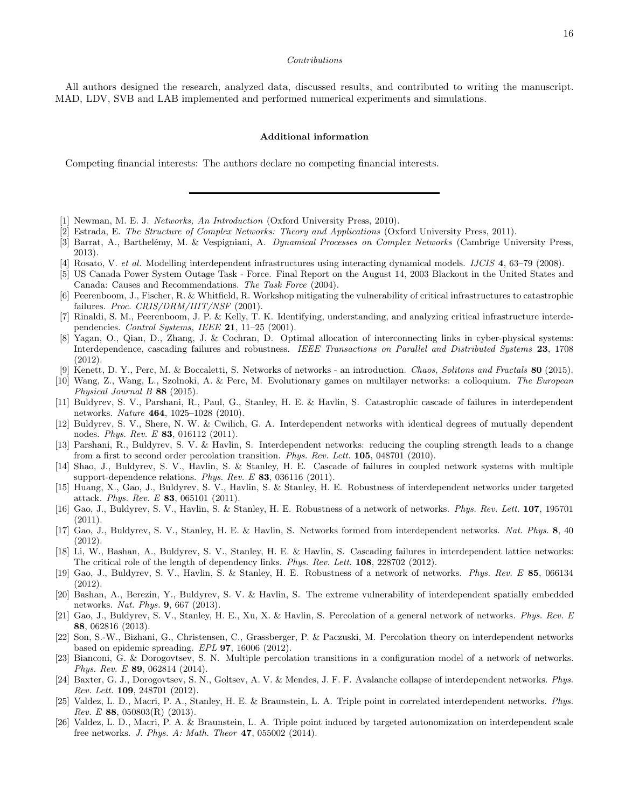#### *Contributions*

All authors designed the research, analyzed data, discussed results, and contributed to writing the manuscript. MAD, LDV, SVB and LAB implemented and performed numerical experiments and simulations.

#### Additional information

Competing financial interests: The authors declare no competing financial interests.

<span id="page-15-0"></span>[1] Newman, M. E. J. *Networks, An Introduction* (Oxford University Press, 2010).

[2] Estrada, E. *The Structure of Complex Networks: Theory and Applications* (Oxford University Press, 2011).

- <span id="page-15-1"></span>[3] Barrat, A., Barthelémy, M. & Vespigniani, A. *Dynamical Processes on Complex Networks* (Cambrige University Press, 2013).
- <span id="page-15-2"></span>[4] Rosato, V. *et al.* Modelling interdependent infrastructures using interacting dynamical models. *IJCIS* 4, 63–79 (2008).
- [5] US Canada Power System Outage Task Force. Final Report on the August 14, 2003 Blackout in the United States and Canada: Causes and Recommendations. *The Task Force* (2004).
- [6] Peerenboom, J., Fischer, R. & Whitfield, R. Workshop mitigating the vulnerability of critical infrastructures to catastrophic failures. *Proc. CRIS/DRM/IIIT/NSF* (2001).
- [7] Rinaldi, S. M., Peerenboom, J. P. & Kelly, T. K. Identifying, understanding, and analyzing critical infrastructure interdependencies. *Control Systems, IEEE* 21, 11–25 (2001).
- [8] Yagan, O., Qian, D., Zhang, J. & Cochran, D. Optimal allocation of interconnecting links in cyber-physical systems: Interdependence, cascading failures and robustness. *IEEE Transactions on Parallel and Distributed Systems* 23, 1708 (2012).
- [9] Kenett, D. Y., Perc, M. & Boccaletti, S. Networks of networks an introduction. *Chaos, Solitons and Fractals* 80 (2015).
- <span id="page-15-3"></span>[10] Wang, Z., Wang, L., Szolnoki, A. & Perc, M. Evolutionary games on multilayer networks: a colloquium. *The European Physical Journal B* 88 (2015).
- <span id="page-15-4"></span>[11] Buldyrev, S. V., Parshani, R., Paul, G., Stanley, H. E. & Havlin, S. Catastrophic cascade of failures in interdependent networks. *Nature* 464, 1025–1028 (2010).
- [12] Buldyrev, S. V., Shere, N. W. & Cwilich, G. A. Interdependent networks with identical degrees of mutually dependent nodes. *Phys. Rev. E* 83, 016112 (2011).
- <span id="page-15-8"></span>[13] Parshani, R., Buldyrev, S. V. & Havlin, S. Interdependent networks: reducing the coupling strength leads to a change from a first to second order percolation transition. *Phys. Rev. Lett.* 105, 048701 (2010).
- <span id="page-15-10"></span>[14] Shao, J., Buldyrev, S. V., Havlin, S. & Stanley, H. E. Cascade of failures in coupled network systems with multiple support-dependence relations. *Phys. Rev. E* 83, 036116 (2011).
- <span id="page-15-7"></span>[15] Huang, X., Gao, J., Buldyrev, S. V., Havlin, S. & Stanley, H. E. Robustness of interdependent networks under targeted attack. *Phys. Rev. E* 83, 065101 (2011).
- [16] Gao, J., Buldyrev, S. V., Havlin, S. & Stanley, H. E. Robustness of a network of networks. *Phys. Rev. Lett.* 107, 195701  $(2011)$ .
- <span id="page-15-11"></span>[17] Gao, J., Buldyrev, S. V., Stanley, H. E. & Havlin, S. Networks formed from interdependent networks. *Nat. Phys.* 8, 40 (2012).
- [18] Li, W., Bashan, A., Buldyrev, S. V., Stanley, H. E. & Havlin, S. Cascading failures in interdependent lattice networks: The critical role of the length of dependency links. *Phys. Rev. Lett.* 108, 228702 (2012).
- [19] Gao, J., Buldyrev, S. V., Havlin, S. & Stanley, H. E. Robustness of a network of networks. *Phys. Rev. E* 85, 066134 (2012).
- [20] Bashan, A., Berezin, Y., Buldyrev, S. V. & Havlin, S. The extreme vulnerability of interdependent spatially embedded networks. *Nat. Phys.* 9, 667 (2013).
- <span id="page-15-6"></span>[21] Gao, J., Buldyrev, S. V., Stanley, H. E., Xu, X. & Havlin, S. Percolation of a general network of networks. *Phys. Rev. E* 88, 062816 (2013).
- [22] Son, S.-W., Bizhani, G., Christensen, C., Grassberger, P. & Paczuski, M. Percolation theory on interdependent networks based on epidemic spreading. *EPL* 97, 16006 (2012).
- [23] Bianconi, G. & Dorogovtsev, S. N. Multiple percolation transitions in a configuration model of a network of networks. *Phys. Rev. E* 89, 062814 (2014).
- [24] Baxter, G. J., Dorogovtsev, S. N., Goltsev, A. V. & Mendes, J. F. F. Avalanche collapse of interdependent networks. *Phys. Rev. Lett.* 109, 248701 (2012).
- <span id="page-15-9"></span>[25] Valdez, L. D., Macri, P. A., Stanley, H. E. & Braunstein, L. A. Triple point in correlated interdependent networks. *Phys. Rev. E* 88, 050803(R) (2013).
- <span id="page-15-5"></span>[26] Valdez, L. D., Macri, P. A. & Braunstein, L. A. Triple point induced by targeted autonomization on interdependent scale free networks. *J. Phys. A: Math. Theor* 47, 055002 (2014).